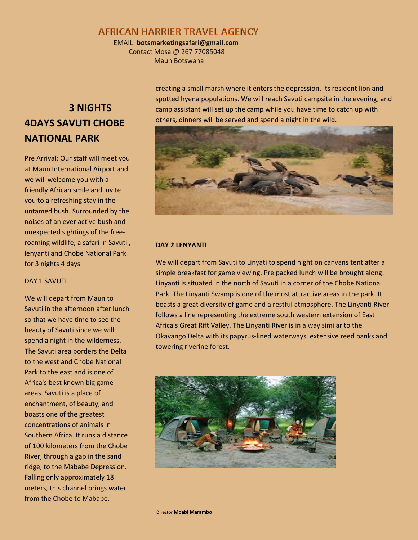## **AFRICAN HARRIER TRAVEL AGENCY**

EMAIL: **botsmarketingsafari@gmail.com**

 Contact Mosa @ 267 77085048 Maun Botswana

# **3 NIGHTS 4DAYS SAVUTI CHOBE NATIONAL PARK**

Pre Arrival; Our staff will meet you at Maun International Airport and we will welcome you with a friendly African smile and invite you to a refreshing stay in the untamed bush. Surrounded by the noises of an ever active bush and unexpected sightings of the freeroaming wildlife, a safari in Savuti , lenyanti and Chobe National Park for 3 nights 4 days

### DAY 1 SAVUTI

We will depart from Maun to Savuti in the afternoon after lunch so that we have time to see the beauty of Savuti since we will spend a night in the wilderness. The Savuti area borders the Delta to the west and Chobe National Park to the east and is one of Africa's best known big game areas. Savuti is a place of enchantment, of beauty, and boasts one of the greatest concentrations of animals in Southern Africa. It runs a distance of 100 kilometers from the Chobe River, through a gap in the sand ridge, to the Mababe Depression. Falling only approximately 18 meters, this channel brings water from the Chobe to Mababe,

creating a small marsh where it enters the depression. Its resident lion and spotted hyena populations. We will reach Savuti campsite in the evening, and camp assistant will set up the camp while you have time to catch up with others, dinners will be served and spend a night in the wild.



### **DAY 2 LENYANTI**

We will depart from Savuti to Linyati to spend night on canvans tent after a simple breakfast for game viewing. Pre packed lunch will be brought along. Linyanti is situated in the north of Savuti in a corner of the Chobe National Park. The Linyanti Swamp is one of the most attractive areas in the park. It boasts a great diversity of game and a restful atmosphere. The Linyanti River follows a line representing the extreme south western extension of East Africa's Great Rift Valley. The Linyanti River is in a way similar to the Okavango Delta with its papyrus-lined waterways, extensive reed banks and towering riverine forest.